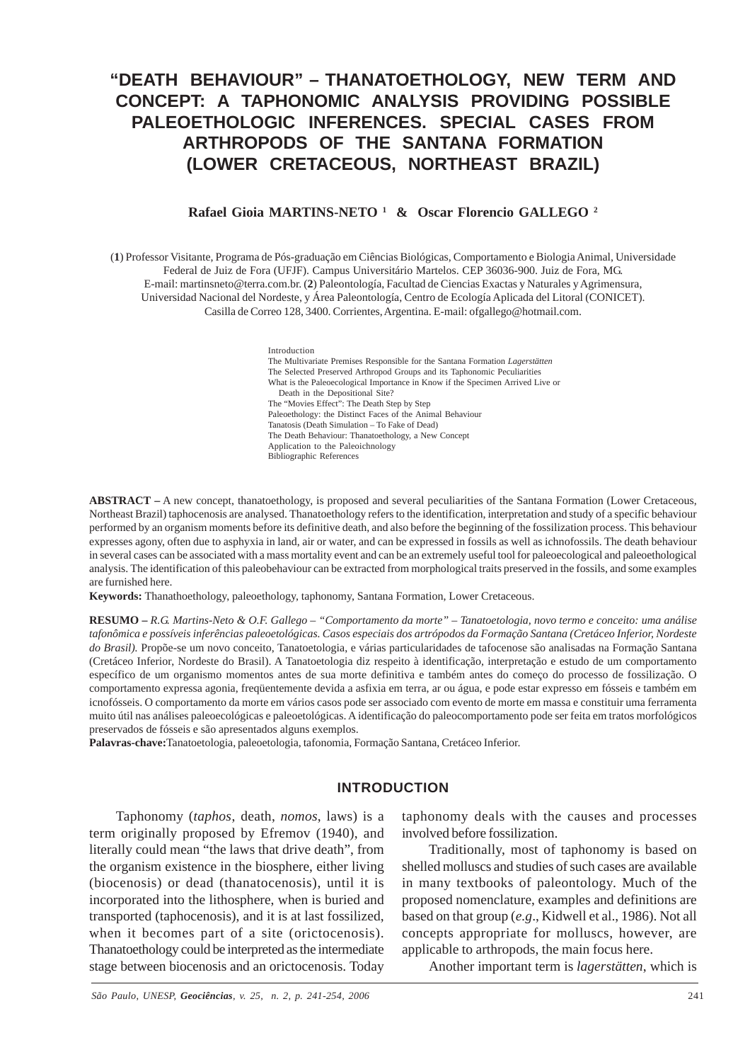# **"DEATH BEHAVIOUR" – THANATOETHOLOGY, NEW TERM AND CONCEPT: A TAPHONOMIC ANALYSIS PROVIDING POSSIBLE PALEOETHOLOGIC INFERENCES. SPECIAL CASES FROM ARTHROPODS OF THE SANTANA FORMATION (LOWER CRETACEOUS, NORTHEAST BRAZIL)**

#### **Rafael Gioia MARTINS-NETO 1 & Oscar Florencio GALLEGO 2**

(**1**) Professor Visitante, Programa de Pós-graduação em Ciências Biológicas, Comportamento e Biologia Animal, Universidade Federal de Juiz de Fora (UFJF). Campus Universitário Martelos. CEP 36036-900. Juiz de Fora, MG. E-mail: martinsneto@terra.com.br. (**2**) Paleontología, Facultad de Ciencias Exactas y Naturales y Agrimensura, Universidad Nacional del Nordeste, y Área Paleontología, Centro de Ecología Aplicada del Litoral (CONICET). Casilla de Correo 128, 3400. Corrientes, Argentina. E-mail: ofgallego@hotmail.com.

> Introduction The Multivariate Premises Responsible for the Santana Formation *Lagerstätten* The Selected Preserved Arthropod Groups and its Taphonomic Peculiarities What is the Paleoecological Importance in Know if the Specimen Arrived Live or Death in the Depositional Site? The "Movies Effect": The Death Step by Step Paleoethology: the Distinct Faces of the Animal Behaviour Tanatosis (Death Simulation – To Fake of Dead) The Death Behaviour: Thanatoethology, a New Concept Application to the Paleoichnology Bibliographic References

**ABSTRACT –** A new concept, thanatoethology, is proposed and several peculiarities of the Santana Formation (Lower Cretaceous, Northeast Brazil) taphocenosis are analysed. Thanatoethology refers to the identification, interpretation and study of a specific behaviour performed by an organism moments before its definitive death, and also before the beginning of the fossilization process. This behaviour expresses agony, often due to asphyxia in land, air or water, and can be expressed in fossils as well as ichnofossils. The death behaviour in several cases can be associated with a mass mortality event and can be an extremely useful tool for paleoecological and paleoethological analysis. The identification of this paleobehaviour can be extracted from morphological traits preserved in the fossils, and some examples are furnished here.

**Keywords:** Thanathoethology, paleoethology, taphonomy, Santana Formation, Lower Cretaceous.

**RESUMO –** *R.G. Martins-Neto & O.F. Gallego – "Comportamento da morte" – Tanatoetologia, novo termo e conceito: uma análise tafonômica e possíveis inferências paleoetológicas. Casos especiais dos artrópodos da Formação Santana (Cretáceo Inferior, Nordeste do Brasil).* Propõe-se um novo conceito, Tanatoetologia, e várias particularidades de tafocenose são analisadas na Formação Santana (Cretáceo Inferior, Nordeste do Brasil). A Tanatoetologia diz respeito à identificação, interpretação e estudo de um comportamento específico de um organismo momentos antes de sua morte definitiva e também antes do começo do processo de fossilização. O comportamento expressa agonia, freqüentemente devida a asfixia em terra, ar ou água, e pode estar expresso em fósseis e também em icnofósseis. O comportamento da morte em vários casos pode ser associado com evento de morte em massa e constituir uma ferramenta muito útil nas análises paleoecológicas e paleoetológicas. A identificação do paleocomportamento pode ser feita em tratos morfológicos preservados de fósseis e são apresentados alguns exemplos.

**Palavras-chave:**Tanatoetologia, paleoetologia, tafonomia, Formação Santana, Cretáceo Inferior.

#### **INTRODUCTION**

Taphonomy (*taphos*, death, *nomos*, laws) is a term originally proposed by Efremov (1940), and literally could mean "the laws that drive death", from the organism existence in the biosphere, either living (biocenosis) or dead (thanatocenosis), until it is incorporated into the lithosphere, when is buried and transported (taphocenosis), and it is at last fossilized, when it becomes part of a site (orictocenosis). Thanatoethology could be interpreted as the intermediate stage between biocenosis and an orictocenosis. Today

taphonomy deals with the causes and processes involved before fossilization.

Traditionally, most of taphonomy is based on shelled molluscs and studies of such cases are available in many textbooks of paleontology. Much of the proposed nomenclature, examples and definitions are based on that group (*e.g*., Kidwell et al., 1986). Not all concepts appropriate for molluscs, however, are applicable to arthropods, the main focus here.

Another important term is *lagerstätten*, which is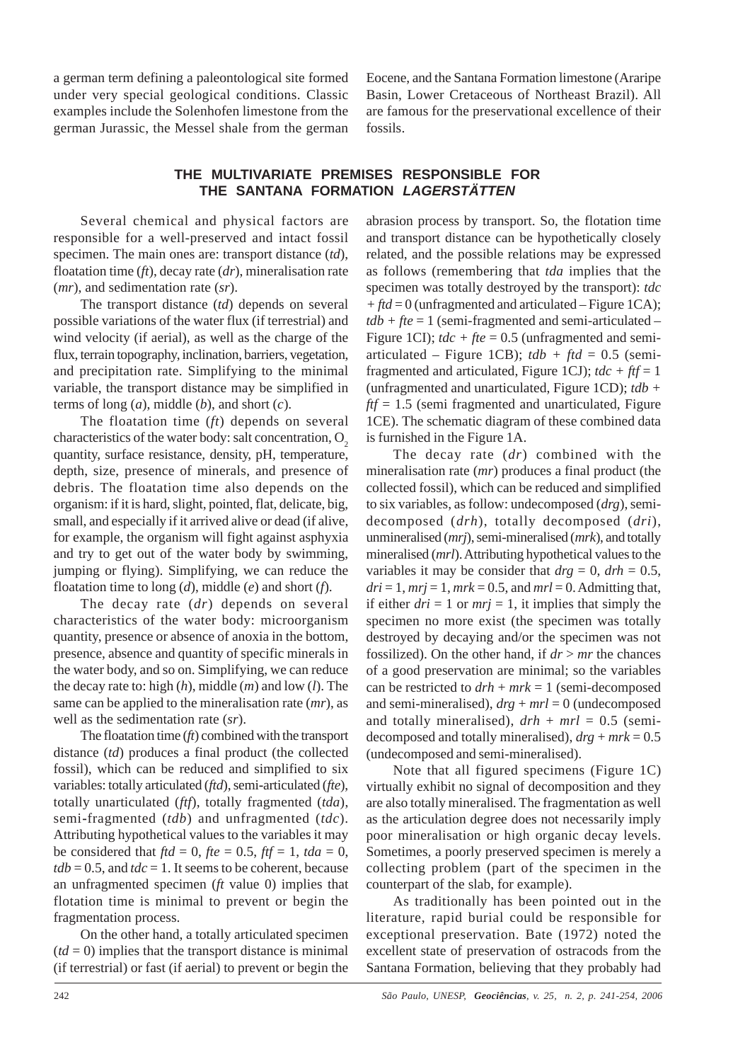a german term defining a paleontological site formed under very special geological conditions. Classic examples include the Solenhofen limestone from the german Jurassic, the Messel shale from the german

Eocene, and the Santana Formation limestone (Araripe Basin, Lower Cretaceous of Northeast Brazil). All are famous for the preservational excellence of their fossils.

# **THE MULTIVARIATE PREMISES RESPONSIBLE FOR THE SANTANA FORMATION** *LAGERSTÄTTEN*

Several chemical and physical factors are responsible for a well-preserved and intact fossil specimen. The main ones are: transport distance (*td*), floatation time (*ft*), decay rate (*dr*), mineralisation rate (*mr*), and sedimentation rate (*sr*).

The transport distance (*td*) depends on several possible variations of the water flux (if terrestrial) and wind velocity (if aerial), as well as the charge of the flux, terrain topography, inclination, barriers, vegetation, and precipitation rate. Simplifying to the minimal variable, the transport distance may be simplified in terms of long (*a*), middle (*b*), and short (*c*).

The floatation time (*ft*) depends on several characteristics of the water body: salt concentration,  $O<sub>2</sub>$ quantity, surface resistance, density, pH, temperature, depth, size, presence of minerals, and presence of debris. The floatation time also depends on the organism: if it is hard, slight, pointed, flat, delicate, big, small, and especially if it arrived alive or dead (if alive, for example, the organism will fight against asphyxia and try to get out of the water body by swimming, jumping or flying). Simplifying, we can reduce the floatation time to long (*d*), middle (*e*) and short (*f*).

The decay rate (*dr*) depends on several characteristics of the water body: microorganism quantity, presence or absence of anoxia in the bottom, presence, absence and quantity of specific minerals in the water body, and so on. Simplifying, we can reduce the decay rate to: high (*h*), middle (*m*) and low (*l*). The same can be applied to the mineralisation rate (*mr*), as well as the sedimentation rate (*sr*).

The floatation time (*ft*) combined with the transport distance (*td*) produces a final product (the collected fossil), which can be reduced and simplified to six variables: totally articulated (*ftd*), semi**-**articulated (*fte*), totally unarticulated (*ftf*), totally fragmented (*tda*), semi**-**fragmented (*tdb*) and unfragmented (*tdc*). Attributing hypothetical values to the variables it may be considered that  $ftd = 0$ ,  $fte = 0.5$ ,  $ftf = 1$ ,  $tda = 0$ ,  $tdb = 0.5$ , and  $tdc = 1$ . It seems to be coherent, because an unfragmented specimen (*ft* value 0) implies that flotation time is minimal to prevent or begin the fragmentation process.

On the other hand, a totally articulated specimen  $(td = 0)$  implies that the transport distance is minimal (if terrestrial) or fast (if aerial) to prevent or begin the

abrasion process by transport. So, the flotation time and transport distance can be hypothetically closely related, and the possible relations may be expressed as follows (remembering that *tda* implies that the specimen was totally destroyed by the transport): *tdc + ftd* = 0 (unfragmented and articulated – Figure 1CA);  $tdb + fte = 1$  (semi-fragmented and semi-articulated – Figure 1CI);  $tdc + fte = 0.5$  (unfragmented and semiarticulated – Figure 1CB);  $tdb + ftd = 0.5$  (semifragmented and articulated, Figure 1CJ);  $tdc + ft = 1$ (unfragmented and unarticulated, Figure 1CD); *tdb +*  $ftf = 1.5$  (semi fragmented and unarticulated, Figure 1CE). The schematic diagram of these combined data is furnished in the Figure 1A.

The decay rate (*dr*) combined with the mineralisation rate (*mr*) produces a final product (the collected fossil), which can be reduced and simplified to six variables, as follow: undecomposed (*drg*), semidecomposed (*drh*), totally decomposed (*dri*), unmineralised (*mrj*), semi-mineralised (*mrk*), and totally mineralised (*mrl*). Attributing hypothetical values to the variables it may be consider that  $drg = 0$ ,  $drh = 0.5$ ,  $dri = 1$ ,  $mri = 1$ ,  $mrk = 0.5$ , and  $mrl = 0$ . Admitting that, if either  $dri = 1$  or  $mri = 1$ , it implies that simply the specimen no more exist (the specimen was totally destroyed by decaying and/or the specimen was not fossilized). On the other hand, if *dr* > *mr* the chances of a good preservation are minimal; so the variables can be restricted to  $drh + mrk = 1$  (semi-decomposed and semi-mineralised),  $drg + mrl = 0$  (undecomposed and totally mineralised),  $drh + mrl = 0.5$  (semidecomposed and totally mineralised), *drg* + *mrk* = 0.5 (undecomposed and semi-mineralised).

Note that all figured specimens (Figure 1C) virtually exhibit no signal of decomposition and they are also totally mineralised. The fragmentation as well as the articulation degree does not necessarily imply poor mineralisation or high organic decay levels. Sometimes, a poorly preserved specimen is merely a collecting problem (part of the specimen in the counterpart of the slab, for example).

As traditionally has been pointed out in the literature, rapid burial could be responsible for exceptional preservation. Bate (1972) noted the excellent state of preservation of ostracods from the Santana Formation, believing that they probably had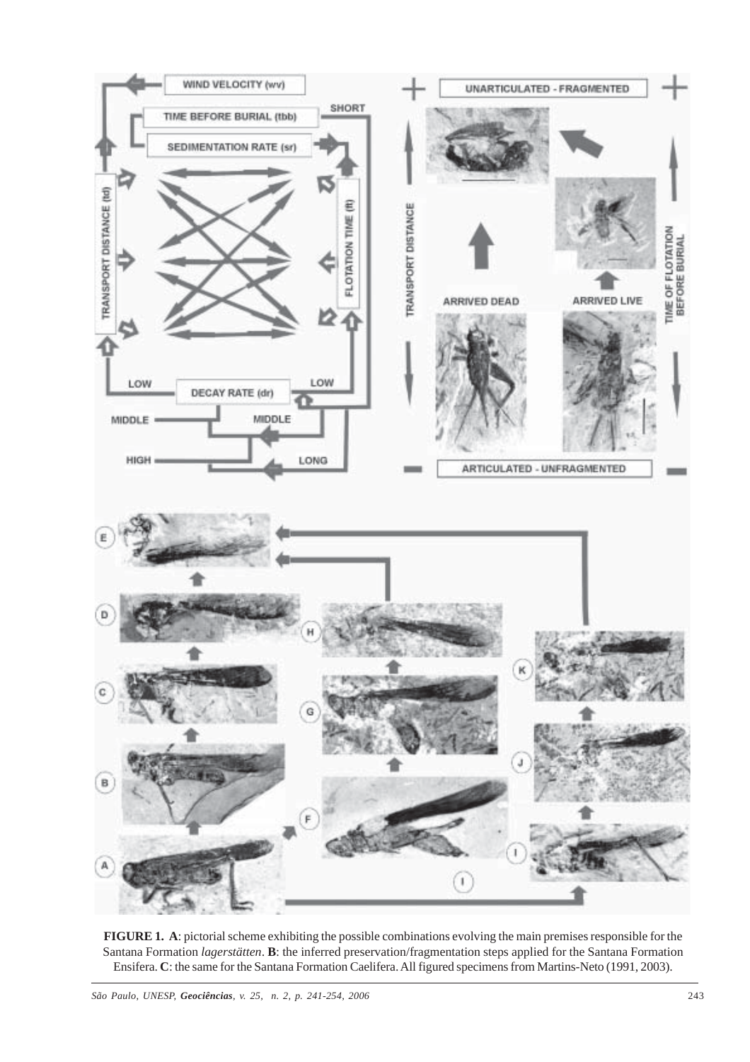

**FIGURE 1. A**: pictorial scheme exhibiting the possible combinations evolving the main premises responsible for the Santana Formation *lagerstätten*. **B**: the inferred preservation/fragmentation steps applied for the Santana Formation Ensifera. **C**: the same for the Santana Formation Caelifera. All figured specimens from Martins-Neto (1991, 2003).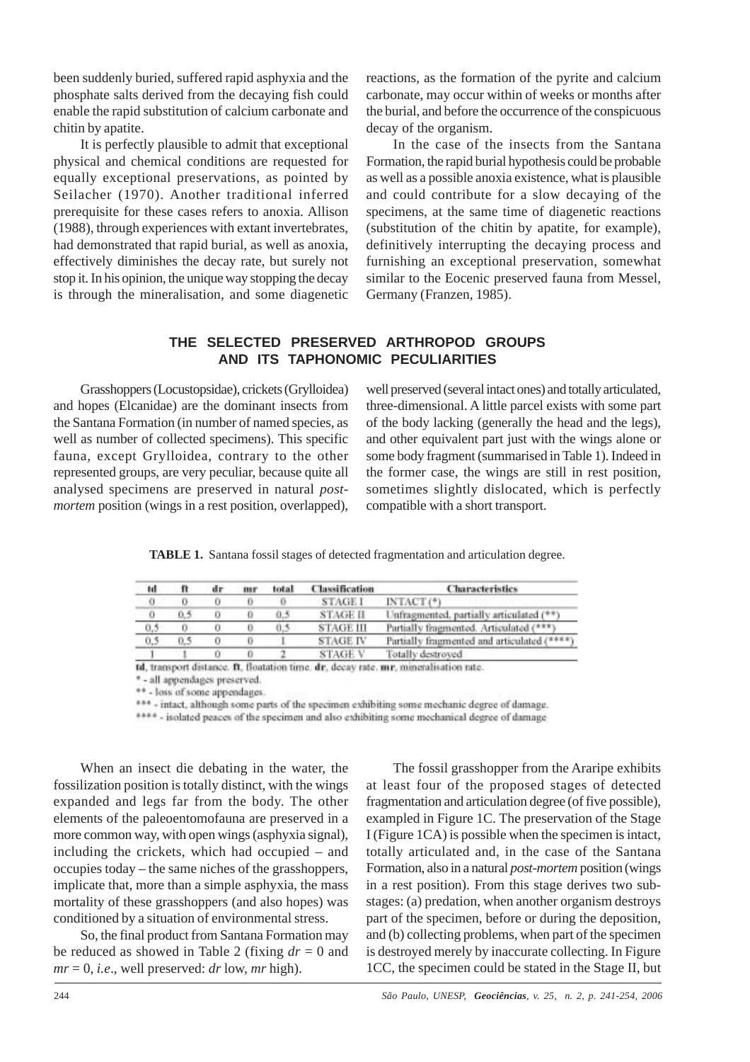been suddenly buried, suffered rapid asphyxia and the phosphate salts derived from the decaying fish could enable the rapid substitution of calcium carbonate and chitin by apatite.

It is perfectly plausible to admit that exceptional physical and chemical conditions are requested for equally exceptional preservations, as pointed by Seilacher (1970). Another traditional inferred prerequisite for these cases refers to anoxia. Allison (1988), through experiences with extant invertebrates, had demonstrated that rapid burial, as well as anoxia, effectively diminishes the decay rate, but surely not stop it. In his opinion, the unique way stopping the decay is through the mineralisation, and some diagenetic reactions, as the formation of the pyrite and calcium carbonate, may occur within of weeks or months after the burial, and before the occurrence of the conspicuous decay of the organism.

In the case of the insects from the Santana Formation, the rapid burial hypothesis could be probable as well as a possible anoxia existence, what is plausible and could contribute for a slow decaying of the specimens, at the same time of diagenetic reactions (substitution of the chitin by apatite, for example), definitively interrupting the decaying process and furnishing an exceptional preservation, somewhat similar to the Eocenic preserved fauna from Messel, Germany (Franzen, 1985).

# **THE SELECTED PRESERVED ARTHROPOD GROUPS AND ITS TAPHONOMIC PECULIARITIES**

Grasshoppers (Locustopsidae), crickets (Grylloidea) and hopes (Elcanidae) are the dominant insects from the Santana Formation (in number of named species, as well as number of collected specimens). This specific fauna, except Grylloidea, contrary to the other represented groups, are very peculiar, because quite all analysed specimens are preserved in natural *postmortem* position (wings in a rest position, overlapped),

well preserved (several intact ones) and totally articulated, three-dimensional. A little parcel exists with some part of the body lacking (generally the head and the legs), and other equivalent part just with the wings alone or some body fragment (summarised in Table 1). Indeed in the former case, the wings are still in rest position, sometimes slightly dislocated, which is perfectly compatible with a short transport.

**TABLE 1.** Santana fossil stages of detected fragmentation and articulation degree.

| td  | n   | dr. | mar | total | <b>Classification</b> | <b>Characteristics</b>                    |
|-----|-----|-----|-----|-------|-----------------------|-------------------------------------------|
| Ű   |     |     |     | Ð     | <b>STAGE I</b>        | INTACT(*)                                 |
| 0   | 0.5 |     |     | 0.5   | <b>STAGE II</b>       | Unfragmented, partially articulated (**)  |
| 0.5 |     |     |     | 0.5   | <b>STAGE III</b>      | Partially fragmented. Articulated (***)   |
| 0.5 | 0.5 |     |     |       | <b>STAGE IV</b>       | Partially fragmented and articulated (*** |
|     |     |     |     |       | <b>STAGE V</b>        | Totally destroyed                         |

td, transport distance. ft, floatation time, dr, decay rate, mr, mineralisation rate.

\*- all appendages preserved.

\*\* - loss of some appendages.

\*\*\* - intact, although some parts of the specimen exhibiting some mechanic degree of damage.

\*\*\*\* - isolated peaces of the specimen and also exhibiting some mechanical degree of damage

When an insect die debating in the water, the fossilization position is totally distinct, with the wings expanded and legs far from the body. The other elements of the paleoentomofauna are preserved in a more common way, with open wings (asphyxia signal), including the crickets, which had occupied – and occupies today – the same niches of the grasshoppers, implicate that, more than a simple asphyxia, the mass mortality of these grasshoppers (and also hopes) was conditioned by a situation of environmental stress.

So, the final product from Santana Formation may be reduced as showed in Table 2 (fixing *dr* = 0 and  $mr = 0$ , *i.e.*, well preserved: *dr* low, *mr* high).

The fossil grasshopper from the Araripe exhibits at least four of the proposed stages of detected fragmentation and articulation degree (of five possible), exampled in Figure 1C. The preservation of the Stage I (Figure 1CA) is possible when the specimen is intact, totally articulated and, in the case of the Santana Formation, also in a natural *post-mortem* position (wings in a rest position). From this stage derives two substages: (a) predation, when another organism destroys part of the specimen, before or during the deposition, and (b) collecting problems, when part of the specimen is destroyed merely by inaccurate collecting. In Figure 1CC, the specimen could be stated in the Stage II, but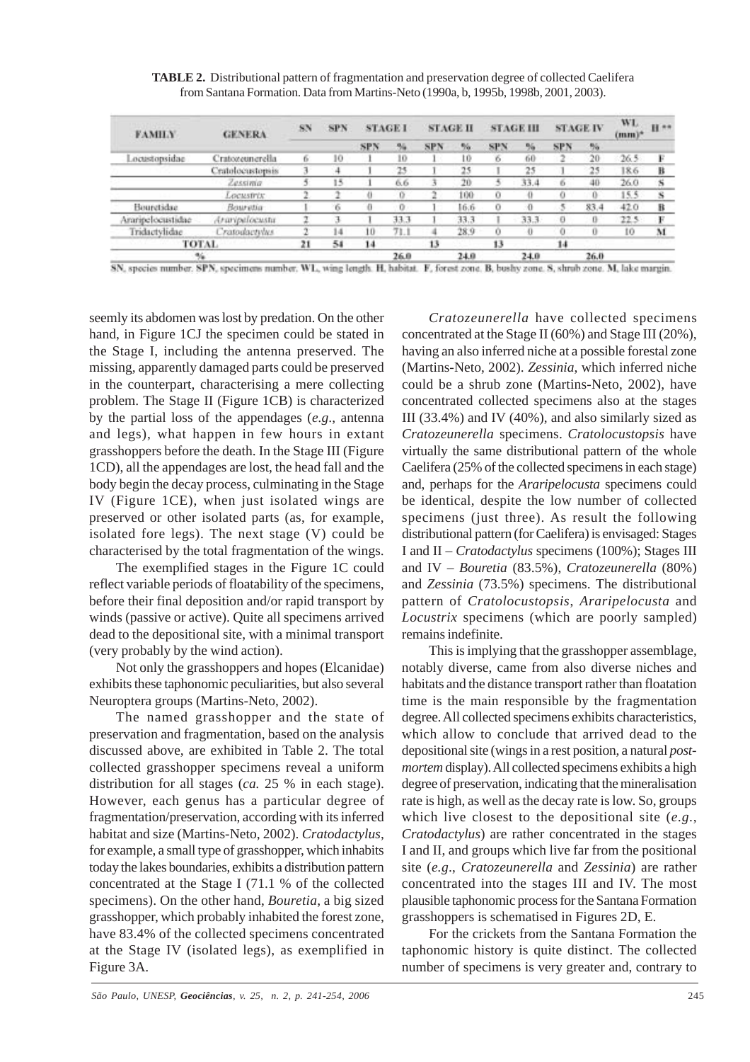**TABLE 2.** Distributional pattern of fragmentation and preservation degree of collected Caelifera from Santana Formation. Data from Martins-Neto (1990a, b, 1995b, 1998b, 2001, 2003).

| <b>FAMILY</b>     | <b>GENERA</b>        | SN | <b>SPN</b> |            | <b>STAGE I</b> |            | <b>STAGE II</b> |            | <b>STAGE III</b> |            | <b>STAGE IV</b> |      | H **<br>$(mm)^*$ |
|-------------------|----------------------|----|------------|------------|----------------|------------|-----------------|------------|------------------|------------|-----------------|------|------------------|
|                   |                      |    |            | <b>SPN</b> | 54             | <b>SPN</b> | $\frac{1}{2}a$  | <b>SPN</b> | 76               | <b>SPN</b> | 56              |      |                  |
| Locustopsidae     | Cratozeunerella      | 6  | 10         |            | 10             |            | t0              | 6          | 60               | $2 -$      | 20              | 26.5 | E                |
|                   | Cratolocustopsis     |    |            |            | 25             |            | 25              |            | 25               |            | 25              | 18.6 | B                |
|                   | Zessima              |    | 15         |            | 66             |            | 20              |            | 33.4             | 6          | 40              | 26.0 | S                |
|                   | LOCUSTIVE            |    |            | n          | $\Omega$       |            | 100             | ū          |                  |            | 0               | 15.5 | S                |
| Bourctidae.       | Bouretia             |    | 6          | o          | $\Omega$       |            | 6.6             | o          | л                |            | 83.4            | 42.0 | $\mathbf{B}$     |
| Araripelocustidae | Araripelocustic      |    |            |            | 33.3           |            | 33.3            |            | 33.3             | ø          | Ü               | 22.5 | F                |
| Tridactylidae     | <b>Cratodactylus</b> |    | 14         | 10         | 71.1           |            | 28.9            |            |                  |            | o               | 10   | M                |
| TOTAL             |                      | 21 | 54         | 14         |                | 13         |                 | 13         |                  | 14         |                 |      |                  |
| %                 |                      |    |            | 26.0       |                | 24.0       |                 | 24.0       |                  | 26.0       |                 |      |                  |

SN, species number. SPN, specimens number, WL, wing length. H, habitat. F, forest zone. B, bushy zone. S, shrub zone. M, lake margin.

seemly its abdomen was lost by predation. On the other hand, in Figure 1CJ the specimen could be stated in the Stage I, including the antenna preserved. The missing, apparently damaged parts could be preserved in the counterpart, characterising a mere collecting problem. The Stage II (Figure 1CB) is characterized by the partial loss of the appendages (*e.g*., antenna and legs), what happen in few hours in extant grasshoppers before the death. In the Stage III (Figure 1CD), all the appendages are lost, the head fall and the body begin the decay process, culminating in the Stage IV (Figure 1CE), when just isolated wings are preserved or other isolated parts (as, for example, isolated fore legs). The next stage (V) could be characterised by the total fragmentation of the wings.

The exemplified stages in the Figure 1C could reflect variable periods of floatability of the specimens, before their final deposition and/or rapid transport by winds (passive or active). Quite all specimens arrived dead to the depositional site, with a minimal transport (very probably by the wind action).

Not only the grasshoppers and hopes (Elcanidae) exhibits these taphonomic peculiarities, but also several Neuroptera groups (Martins-Neto, 2002).

The named grasshopper and the state of preservation and fragmentation, based on the analysis discussed above, are exhibited in Table 2. The total collected grasshopper specimens reveal a uniform distribution for all stages (*ca.* 25 % in each stage). However, each genus has a particular degree of fragmentation/preservation, according with its inferred habitat and size (Martins-Neto, 2002). *Cratodactylus*, for example, a small type of grasshopper, which inhabits today the lakes boundaries, exhibits a distribution pattern concentrated at the Stage I (71.1 % of the collected specimens). On the other hand, *Bouretia*, a big sized grasshopper, which probably inhabited the forest zone, have 83.4% of the collected specimens concentrated at the Stage IV (isolated legs), as exemplified in Figure 3A.

*Cratozeunerella* have collected specimens concentrated at the Stage II (60%) and Stage III (20%), having an also inferred niche at a possible forestal zone (Martins-Neto, 2002). *Zessinia*, which inferred niche could be a shrub zone (Martins-Neto, 2002), have concentrated collected specimens also at the stages III (33.4%) and IV (40%), and also similarly sized as *Cratozeunerella* specimens. *Cratolocustopsis* have virtually the same distributional pattern of the whole Caelifera (25% of the collected specimens in each stage) and, perhaps for the *Araripelocusta* specimens could be identical, despite the low number of collected specimens (just three). As result the following distributional pattern (for Caelifera) is envisaged: Stages I and II – *Cratodactylus* specimens (100%); Stages III and IV – *Bouretia* (83.5%), *Cratozeunerella* (80%) and *Zessinia* (73.5%) specimens. The distributional pattern of *Cratolocustopsis*, *Araripelocusta* and *Locustrix* specimens (which are poorly sampled) remains indefinite.

This is implying that the grasshopper assemblage, notably diverse, came from also diverse niches and habitats and the distance transport rather than floatation time is the main responsible by the fragmentation degree. All collected specimens exhibits characteristics, which allow to conclude that arrived dead to the depositional site (wings in a rest position, a natural *postmortem* display). All collected specimens exhibits a high degree of preservation, indicating that the mineralisation rate is high, as well as the decay rate is low. So, groups which live closest to the depositional site (*e.g*., *Cratodactylus*) are rather concentrated in the stages I and II, and groups which live far from the positional site (*e.g*., *Cratozeunerella* and *Zessinia*) are rather concentrated into the stages III and IV. The most plausible taphonomic process for the Santana Formation grasshoppers is schematised in Figures 2D, E.

For the crickets from the Santana Formation the taphonomic history is quite distinct. The collected number of specimens is very greater and, contrary to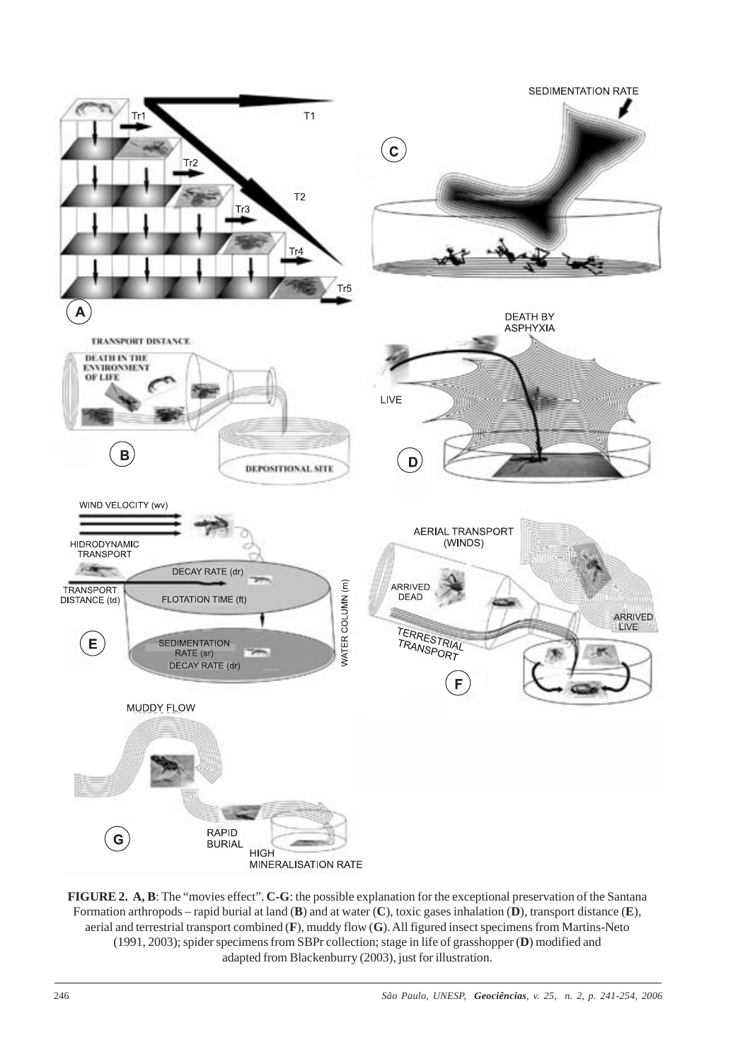

**FIGURE 2. A, B**: The "movies effect". **C-G**: the possible explanation for the exceptional preservation of the Santana Formation arthropods – rapid burial at land (**B**) and at water (**C**), toxic gases inhalation (**D**), transport distance (**E**), aerial and terrestrial transport combined (**F**), muddy flow (**G**). All figured insect specimens from Martins-Neto (1991, 2003); spider specimens from SBPr collection; stage in life of grasshopper (**D**) modified and adapted from Blackenburry (2003), just for illustration.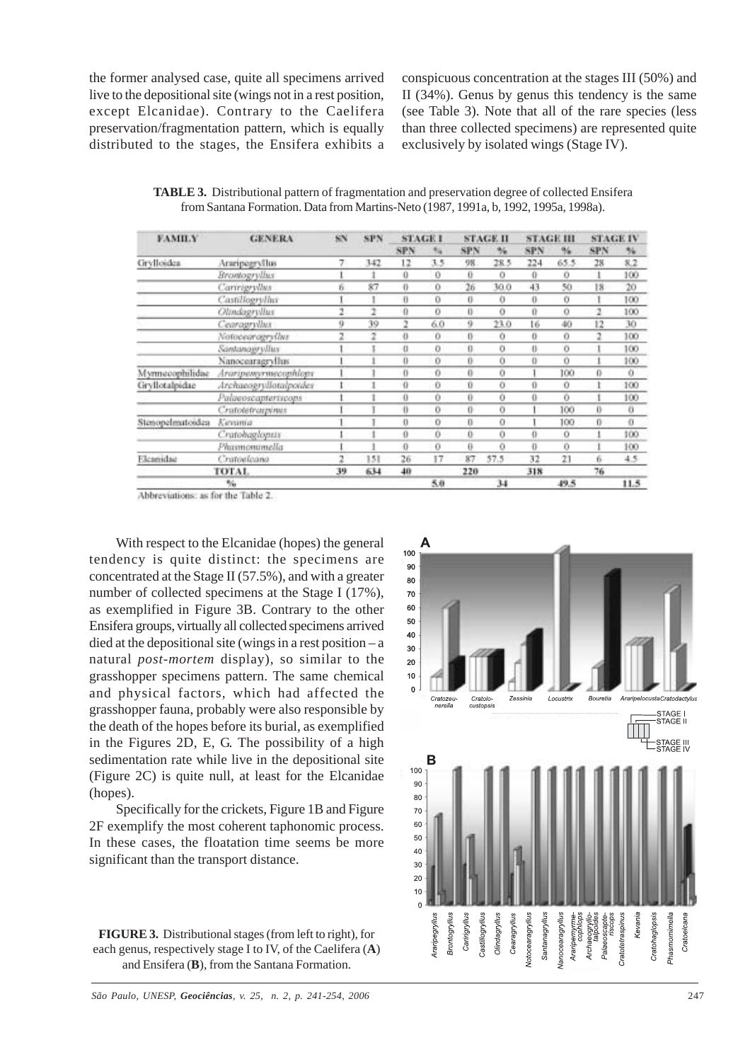the former analysed case, quite all specimens arrived live to the depositional site (wings not in a rest position, except Elcanidae). Contrary to the Caelifera preservation/fragmentation pattern, which is equally distributed to the stages, the Ensifera exhibits a conspicuous concentration at the stages III (50%) and II (34%). Genus by genus this tendency is the same (see Table 3). Note that all of the rare species (less than three collected specimens) are represented quite exclusively by isolated wings (Stage IV).

**TABLE 3.** Distributional pattern of fragmentation and preservation degree of collected Ensifera from Santana Formation. Data from Martins-Neto (1987, 1991a, b, 1992, 1995a, 1998a).

| <b>FAMILY</b>    | <b>GENERA</b>          | śΝ | <b>SPN</b> | <b>STAGE I</b> |                | <b>STAGE II</b> |      | <b>STAGE III</b> |      | <b>STAGE IV</b> |      |
|------------------|------------------------|----|------------|----------------|----------------|-----------------|------|------------------|------|-----------------|------|
|                  |                        |    |            | <b>SPN</b>     | 14             | SPN             | %.   | SPN              | %    | <b>SPN</b>      | 34   |
| Grylloidea       | Araripegryllus         |    | 342        | 12             | 3.5            | 98              | 28.5 | 224              | 65.5 | 28              | 8.2  |
|                  | Brontogryllus          |    |            | 0              | 0              | 0               | o    | 0                | o    |                 | 100  |
|                  | Caririgryllus          | ñ  | 87         | 0              | o              | 26              | 30.0 | 43               | 50   | 18              | 20   |
|                  | Castillogrillus        |    |            | õ              | 0              | 0               | o    | 0                | ō    |                 | 100  |
|                  | Olindagryllus          |    | 2          | 0              | $\overline{O}$ | 0               | o    | ū                | o    | 2               | 100  |
|                  | Cearagryllus           | ÿ  | 39         | 2              | 6.0            | 9               | 23.0 | 16               | 40   | 12              | 30   |
|                  | Notocearagryllus       |    | 2          | 0              | Ü              | 0               | ō    | 0                | ō    | 2               | 100  |
|                  | Santanagryllus         |    |            | $\bf{0}$       | o              | Ü               | Ò    | ö                | Ö    |                 | 100  |
|                  | Nanocearagrythis       |    |            | ü              | o              | Ü               | Ò    | ō                | Ö    |                 | 100  |
| Myrmecophilidae  | Araripemyrmecophiops   |    |            | 0              | Ð              | Ü               | Ü    |                  | 100  | 0               | 0    |
| Gryllotalpidae   | Archaeogryllotalpoides |    |            | 0              | o              | Ŭ               | ö    | ō                | ō    |                 | 100  |
|                  | Palaeoscapteriscops    |    |            | 0              | o              | Ü               | ō    | ü                | ō    |                 | 100  |
|                  | Cratoletrospinus       |    |            | ö              | o              | 0               | ö    |                  | 100  | Ð               | o    |
| Stenopelmatoidea | Kenama                 |    |            | 0              | Ü              | 0               | a    |                  | 100  | Đ               | Đ.   |
|                  | Cratohaglopus          |    |            | 0              | o              | 0               | Ō    | 0                | o    |                 | 100  |
|                  | Phismonumella          |    |            | Ü              | 0              | Ü               | ō    | ō                | Ŭ    |                 | 100  |
| Elcamidae        | Cristoelcana           | 2  | 151        | 26             | 17             | 87              | 57.5 | 32               | 21   | ń               | 4.5  |
| TOTAL.           |                        |    | 634        | 40             |                | 220             |      | 318              |      | 76              |      |
| 畅                |                        |    |            |                | 5.0            |                 | 34   |                  | 49.5 |                 | 11.5 |

Abbreviations: as for the Table 2.

With respect to the Elcanidae (hopes) the general tendency is quite distinct: the specimens are concentrated at the Stage II (57.5%), and with a greater number of collected specimens at the Stage I (17%), as exemplified in Figure 3B. Contrary to the other Ensifera groups, virtually all collected specimens arrived died at the depositional site (wings in a rest position – a natural *post-mortem* display), so similar to the grasshopper specimens pattern. The same chemical and physical factors, which had affected the grasshopper fauna, probably were also responsible by the death of the hopes before its burial, as exemplified in the Figures 2D, E, G. The possibility of a high sedimentation rate while live in the depositional site (Figure 2C) is quite null, at least for the Elcanidae (hopes).

Specifically for the crickets, Figure 1B and Figure 2F exemplify the most coherent taphonomic process. In these cases, the floatation time seems be more significant than the transport distance.



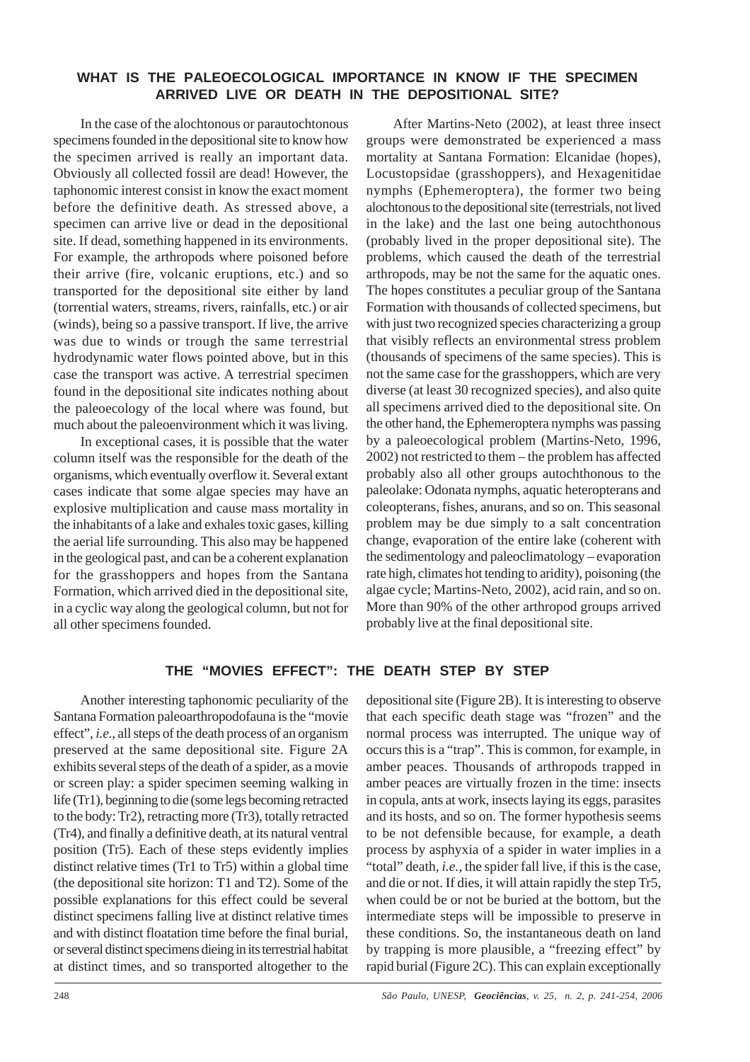### **WHAT IS THE PALEOECOLOGICAL IMPORTANCE IN KNOW IF THE SPECIMEN ARRIVED LIVE OR DEATH IN THE DEPOSITIONAL SITE?**

In the case of the alochtonous or parautochtonous specimens founded in the depositional site to know how the specimen arrived is really an important data. Obviously all collected fossil are dead! However, the taphonomic interest consist in know the exact moment before the definitive death. As stressed above, a specimen can arrive live or dead in the depositional site. If dead, something happened in its environments. For example, the arthropods where poisoned before their arrive (fire, volcanic eruptions, etc.) and so transported for the depositional site either by land (torrential waters, streams, rivers, rainfalls, etc.) or air (winds), being so a passive transport. If live, the arrive was due to winds or trough the same terrestrial hydrodynamic water flows pointed above, but in this case the transport was active. A terrestrial specimen found in the depositional site indicates nothing about the paleoecology of the local where was found, but much about the paleoenvironment which it was living.

In exceptional cases, it is possible that the water column itself was the responsible for the death of the organisms, which eventually overflow it. Several extant cases indicate that some algae species may have an explosive multiplication and cause mass mortality in the inhabitants of a lake and exhales toxic gases, killing the aerial life surrounding. This also may be happened in the geological past, and can be a coherent explanation for the grasshoppers and hopes from the Santana Formation, which arrived died in the depositional site, in a cyclic way along the geological column, but not for all other specimens founded.

After Martins-Neto (2002), at least three insect groups were demonstrated be experienced a mass mortality at Santana Formation: Elcanidae (hopes), Locustopsidae (grasshoppers), and Hexagenitidae nymphs (Ephemeroptera), the former two being alochtonous to the depositional site (terrestrials, not lived in the lake) and the last one being autochthonous (probably lived in the proper depositional site). The problems, which caused the death of the terrestrial arthropods, may be not the same for the aquatic ones. The hopes constitutes a peculiar group of the Santana Formation with thousands of collected specimens, but with just two recognized species characterizing a group that visibly reflects an environmental stress problem (thousands of specimens of the same species). This is not the same case for the grasshoppers, which are very diverse (at least 30 recognized species), and also quite all specimens arrived died to the depositional site. On the other hand, the Ephemeroptera nymphs was passing by a paleoecological problem (Martins-Neto, 1996, 2002) not restricted to them – the problem has affected probably also all other groups autochthonous to the paleolake: Odonata nymphs, aquatic heteropterans and coleopterans, fishes, anurans, and so on. This seasonal problem may be due simply to a salt concentration change, evaporation of the entire lake (coherent with the sedimentology and paleoclimatology – evaporation rate high, climates hot tending to aridity), poisoning (the algae cycle; Martins-Neto, 2002), acid rain, and so on. More than 90% of the other arthropod groups arrived probably live at the final depositional site.

## **THE "MOVIES EFFECT": THE DEATH STEP BY STEP**

Another interesting taphonomic peculiarity of the Santana Formation paleoarthropodofauna is the "movie effect", *i.e*., all steps of the death process of an organism preserved at the same depositional site. Figure 2A exhibits several steps of the death of a spider, as a movie or screen play: a spider specimen seeming walking in life (Tr1), beginning to die (some legs becoming retracted to the body: Tr2), retracting more (Tr3), totally retracted (Tr4), and finally a definitive death, at its natural ventral position (Tr5). Each of these steps evidently implies distinct relative times (Tr1 to Tr5) within a global time (the depositional site horizon: T1 and T2). Some of the possible explanations for this effect could be several distinct specimens falling live at distinct relative times and with distinct floatation time before the final burial, or several distinct specimens dieing in its terrestrial habitat at distinct times, and so transported altogether to the

depositional site (Figure 2B). It is interesting to observe that each specific death stage was "frozen" and the normal process was interrupted. The unique way of occurs this is a "trap". This is common, for example, in amber peaces. Thousands of arthropods trapped in amber peaces are virtually frozen in the time: insects in copula, ants at work, insects laying its eggs, parasites and its hosts, and so on. The former hypothesis seems to be not defensible because, for example, a death process by asphyxia of a spider in water implies in a "total" death, *i.e.*, the spider fall live, if this is the case, and die or not. If dies, it will attain rapidly the step Tr5, when could be or not be buried at the bottom, but the intermediate steps will be impossible to preserve in these conditions. So, the instantaneous death on land by trapping is more plausible, a "freezing effect" by rapid burial (Figure 2C). This can explain exceptionally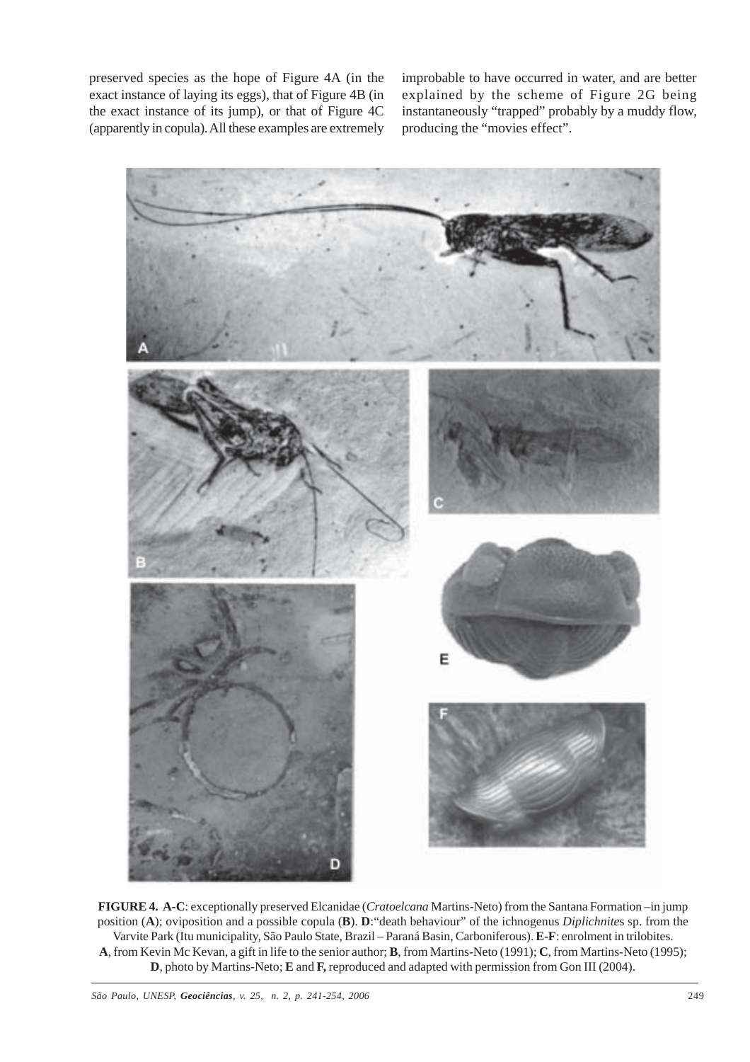preserved species as the hope of Figure 4A (in the exact instance of laying its eggs), that of Figure 4B (in the exact instance of its jump), or that of Figure 4C (apparently in copula). All these examples are extremely

improbable to have occurred in water, and are better explained by the scheme of Figure 2G being instantaneously "trapped" probably by a muddy flow, producing the "movies effect".



**FIGURE 4. A-C**: exceptionally preserved Elcanidae (*Cratoelcana* Martins-Neto) from the Santana Formation –in jump position (**A**); oviposition and a possible copula (**B**). **D**:"death behaviour" of the ichnogenus *Diplichnite*s sp. from the Varvite Park (Itu municipality, São Paulo State, Brazil – Paraná Basin, Carboniferous). **E-F**: enrolment in trilobites. **A**, from Kevin Mc Kevan, a gift in life to the senior author; **B**, from Martins-Neto (1991); **C**, from Martins-Neto (1995); **D**, photo by Martins-Neto; **E** and **F,** reproduced and adapted with permission from Gon III (2004).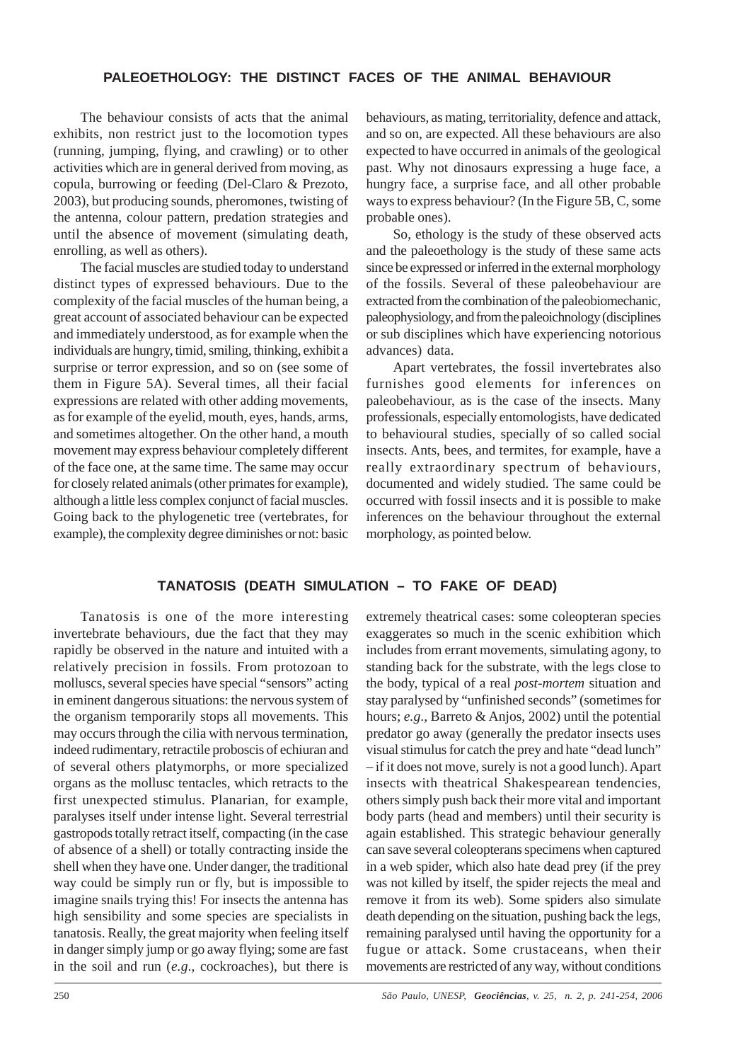# **PALEOETHOLOGY: THE DISTINCT FACES OF THE ANIMAL BEHAVIOUR**

The behaviour consists of acts that the animal exhibits, non restrict just to the locomotion types (running, jumping, flying, and crawling) or to other activities which are in general derived from moving, as copula, burrowing or feeding (Del-Claro & Prezoto, 2003), but producing sounds, pheromones, twisting of the antenna, colour pattern, predation strategies and until the absence of movement (simulating death, enrolling, as well as others).

The facial muscles are studied today to understand distinct types of expressed behaviours. Due to the complexity of the facial muscles of the human being, a great account of associated behaviour can be expected and immediately understood, as for example when the individuals are hungry, timid, smiling, thinking, exhibit a surprise or terror expression, and so on (see some of them in Figure 5A). Several times, all their facial expressions are related with other adding movements, as for example of the eyelid, mouth, eyes, hands, arms, and sometimes altogether. On the other hand, a mouth movement may express behaviour completely different of the face one, at the same time. The same may occur for closely related animals (other primates for example), although a little less complex conjunct of facial muscles. Going back to the phylogenetic tree (vertebrates, for example), the complexity degree diminishes or not: basic

behaviours, as mating, territoriality, defence and attack, and so on, are expected. All these behaviours are also expected to have occurred in animals of the geological past. Why not dinosaurs expressing a huge face, a hungry face, a surprise face, and all other probable ways to express behaviour? (In the Figure 5B, C, some probable ones).

So, ethology is the study of these observed acts and the paleoethology is the study of these same acts since be expressed or inferred in the external morphology of the fossils. Several of these paleobehaviour are extracted from the combination of the paleobiomechanic, paleophysiology, and from the paleoichnology (disciplines or sub disciplines which have experiencing notorious advances) data.

Apart vertebrates, the fossil invertebrates also furnishes good elements for inferences on paleobehaviour, as is the case of the insects. Many professionals, especially entomologists, have dedicated to behavioural studies, specially of so called social insects. Ants, bees, and termites, for example, have a really extraordinary spectrum of behaviours, documented and widely studied. The same could be occurred with fossil insects and it is possible to make inferences on the behaviour throughout the external morphology, as pointed below.

# **TANATOSIS (DEATH SIMULATION – TO FAKE OF DEAD)**

Tanatosis is one of the more interesting invertebrate behaviours, due the fact that they may rapidly be observed in the nature and intuited with a relatively precision in fossils. From protozoan to molluscs, several species have special "sensors" acting in eminent dangerous situations: the nervous system of the organism temporarily stops all movements. This may occurs through the cilia with nervous termination, indeed rudimentary, retractile proboscis of echiuran and of several others platymorphs, or more specialized organs as the mollusc tentacles, which retracts to the first unexpected stimulus. Planarian, for example, paralyses itself under intense light. Several terrestrial gastropods totally retract itself, compacting (in the case of absence of a shell) or totally contracting inside the shell when they have one. Under danger, the traditional way could be simply run or fly, but is impossible to imagine snails trying this! For insects the antenna has high sensibility and some species are specialists in tanatosis. Really, the great majority when feeling itself in danger simply jump or go away flying; some are fast in the soil and run (*e.g*., cockroaches), but there is

extremely theatrical cases: some coleopteran species exaggerates so much in the scenic exhibition which includes from errant movements, simulating agony, to standing back for the substrate, with the legs close to the body, typical of a real *post-mortem* situation and stay paralysed by "unfinished seconds" (sometimes for hours; *e.g*., Barreto & Anjos, 2002) until the potential predator go away (generally the predator insects uses visual stimulus for catch the prey and hate "dead lunch" – if it does not move, surely is not a good lunch). Apart insects with theatrical Shakespearean tendencies, others simply push back their more vital and important body parts (head and members) until their security is again established. This strategic behaviour generally can save several coleopterans specimens when captured in a web spider, which also hate dead prey (if the prey was not killed by itself, the spider rejects the meal and remove it from its web). Some spiders also simulate death depending on the situation, pushing back the legs, remaining paralysed until having the opportunity for a fugue or attack. Some crustaceans, when their movements are restricted of any way, without conditions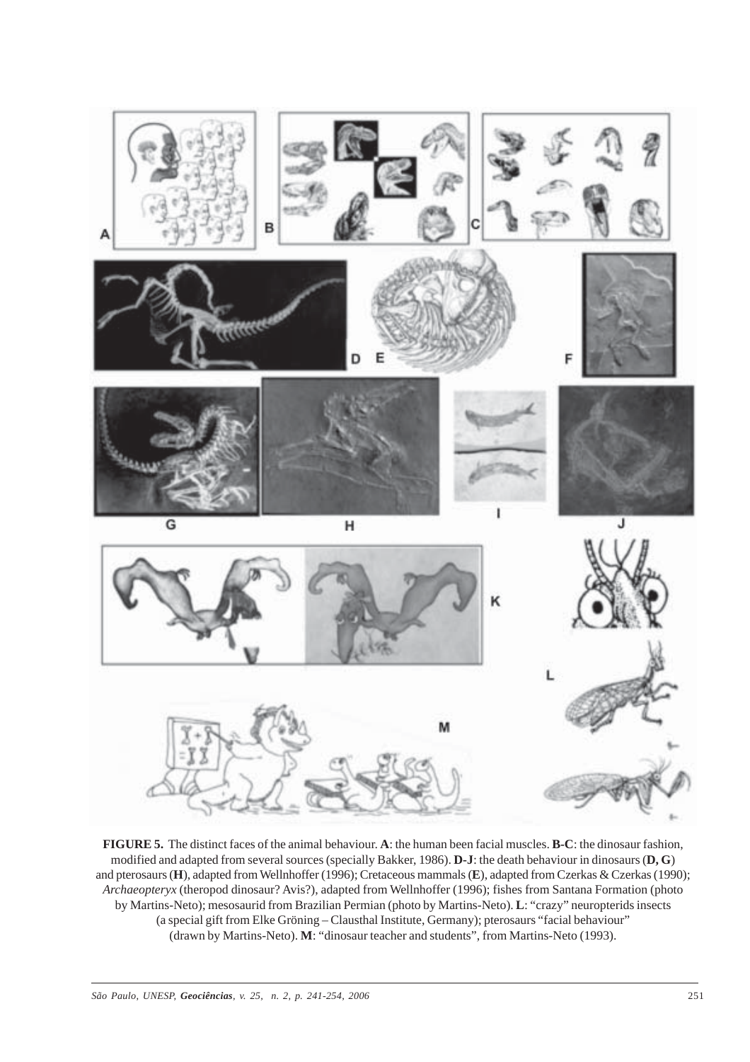

**FIGURE 5.** The distinct faces of the animal behaviour. **A**: the human been facial muscles. **B-C**: the dinosaur fashion, modified and adapted from several sources (specially Bakker, 1986). **D-J**: the death behaviour in dinosaurs (**D, G**) and pterosaurs (**H**), adapted from Wellnhoffer (1996); Cretaceous mammals (**E**), adapted from Czerkas & Czerkas (1990); *Archaeopteryx* (theropod dinosaur? Avis?), adapted from Wellnhoffer (1996); fishes from Santana Formation (photo by Martins-Neto); mesosaurid from Brazilian Permian (photo by Martins-Neto). **L**: "crazy" neuropterids insects (a special gift from Elke Gröning – Clausthal Institute, Germany); pterosaurs "facial behaviour" (drawn by Martins-Neto). **M**: "dinosaur teacher and students", from Martins-Neto (1993).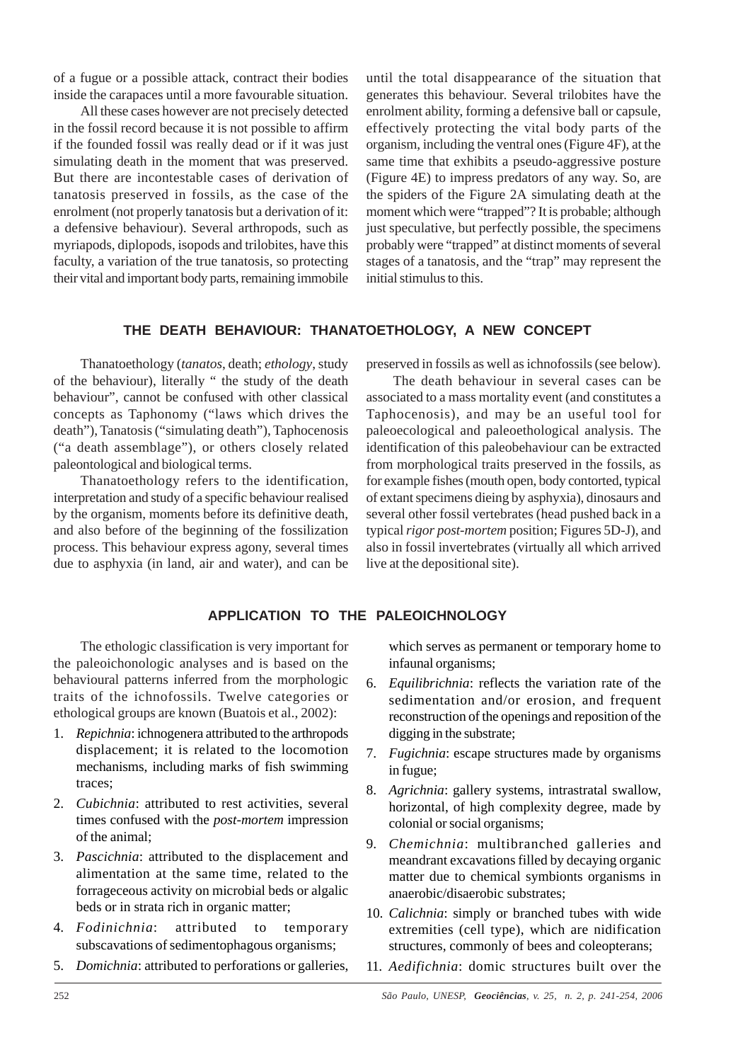of a fugue or a possible attack, contract their bodies inside the carapaces until a more favourable situation.

All these cases however are not precisely detected in the fossil record because it is not possible to affirm if the founded fossil was really dead or if it was just simulating death in the moment that was preserved. But there are incontestable cases of derivation of tanatosis preserved in fossils, as the case of the enrolment (not properly tanatosis but a derivation of it: a defensive behaviour). Several arthropods, such as myriapods, diplopods, isopods and trilobites, have this faculty, a variation of the true tanatosis, so protecting their vital and important body parts, remaining immobile

until the total disappearance of the situation that generates this behaviour. Several trilobites have the enrolment ability, forming a defensive ball or capsule, effectively protecting the vital body parts of the organism, including the ventral ones (Figure 4F), at the same time that exhibits a pseudo-aggressive posture (Figure 4E) to impress predators of any way. So, are the spiders of the Figure 2A simulating death at the moment which were "trapped"? It is probable; although just speculative, but perfectly possible, the specimens probably were "trapped" at distinct moments of several stages of a tanatosis, and the "trap" may represent the initial stimulus to this.

### **THE DEATH BEHAVIOUR: THANATOETHOLOGY, A NEW CONCEPT**

Thanatoethology (*tanatos*, death; *ethology*, study of the behaviour), literally " the study of the death behaviour", cannot be confused with other classical concepts as Taphonomy ("laws which drives the death"), Tanatosis ("simulating death"), Taphocenosis ("a death assemblage"), or others closely related paleontological and biological terms.

Thanatoethology refers to the identification, interpretation and study of a specific behaviour realised by the organism, moments before its definitive death, and also before of the beginning of the fossilization process. This behaviour express agony, several times due to asphyxia (in land, air and water), and can be

preserved in fossils as well as ichnofossils (see below).

The death behaviour in several cases can be associated to a mass mortality event (and constitutes a Taphocenosis), and may be an useful tool for paleoecological and paleoethological analysis. The identification of this paleobehaviour can be extracted from morphological traits preserved in the fossils, as for example fishes (mouth open, body contorted, typical of extant specimens dieing by asphyxia), dinosaurs and several other fossil vertebrates (head pushed back in a typical *rigor post-mortem* position; Figures 5D-J), and also in fossil invertebrates (virtually all which arrived live at the depositional site).

### **APPLICATION TO THE PALEOICHNOLOGY**

The ethologic classification is very important for the paleoichonologic analyses and is based on the behavioural patterns inferred from the morphologic traits of the ichnofossils. Twelve categories or ethological groups are known (Buatois et al., 2002):

- 1. *Repichnia*: ichnogenera attributed to the arthropods displacement; it is related to the locomotion mechanisms, including marks of fish swimming traces;
- 2. *Cubichnia*: attributed to rest activities, several times confused with the *post-mortem* impression of the animal;
- 3. *Pascichnia*: attributed to the displacement and alimentation at the same time, related to the forrageceous activity on microbial beds or algalic beds or in strata rich in organic matter;
- 4. *Fodinichnia*: attributed to temporary subscavations of sedimentophagous organisms;
- 5. *Domichnia*: attributed to perforations or galleries,

which serves as permanent or temporary home to infaunal organisms;

- 6. *Equilibrichnia*: reflects the variation rate of the sedimentation and/or erosion, and frequent reconstruction of the openings and reposition of the digging in the substrate;
- 7. *Fugichnia*: escape structures made by organisms in fugue;
- 8. *Agrichnia*: gallery systems, intrastratal swallow, horizontal, of high complexity degree, made by colonial or social organisms;
- 9. *Chemichnia*: multibranched galleries and meandrant excavations filled by decaying organic matter due to chemical symbionts organisms in anaerobic/disaerobic substrates;
- 10. *Calichnia*: simply or branched tubes with wide extremities (cell type), which are nidification structures, commonly of bees and coleopterans;
- 11. *Aedifichnia*: domic structures built over the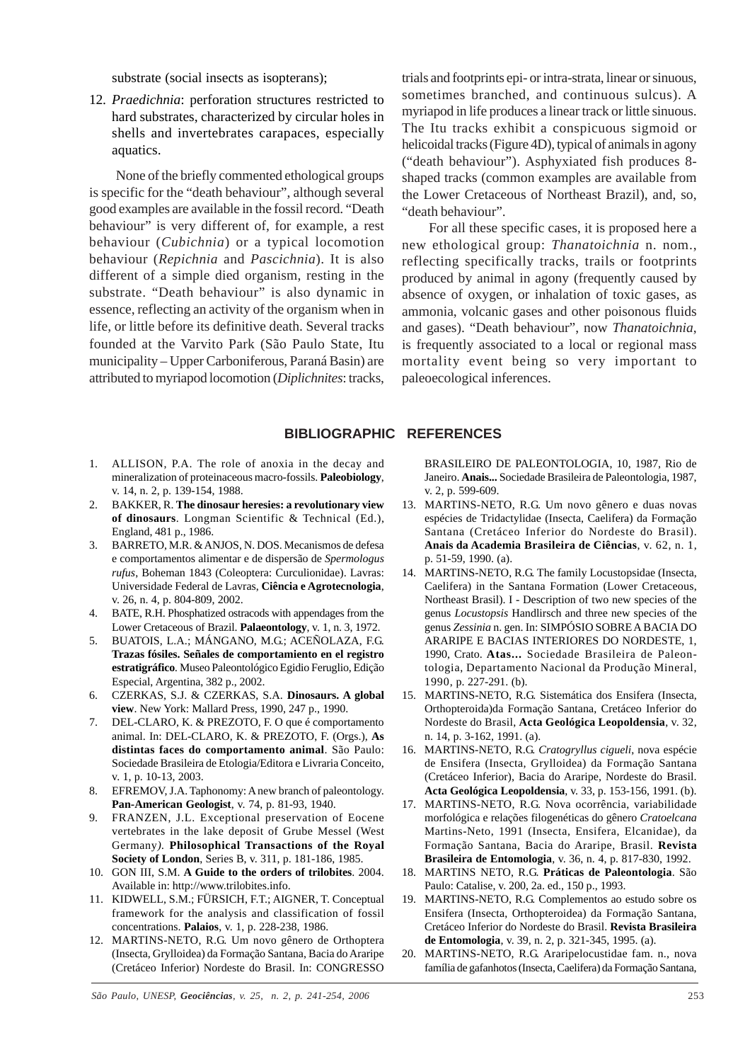substrate (social insects as isopterans);

12. *Praedichnia*: perforation structures restricted to hard substrates, characterized by circular holes in shells and invertebrates carapaces, especially aquatics.

None of the briefly commented ethological groups is specific for the "death behaviour", although several good examples are available in the fossil record. "Death behaviour" is very different of, for example, a rest behaviour (*Cubichnia*) or a typical locomotion behaviour (*Repichnia* and *Pascichnia*). It is also different of a simple died organism, resting in the substrate. "Death behaviour" is also dynamic in essence, reflecting an activity of the organism when in life, or little before its definitive death. Several tracks founded at the Varvito Park (São Paulo State, Itu municipality – Upper Carboniferous, Paraná Basin) are attributed to myriapod locomotion (*Diplichnites*: tracks,

trials and footprints epi- or intra-strata, linear or sinuous, sometimes branched, and continuous sulcus). A myriapod in life produces a linear track or little sinuous. The Itu tracks exhibit a conspicuous sigmoid or helicoidal tracks (Figure 4D), typical of animals in agony ("death behaviour"). Asphyxiated fish produces 8 shaped tracks (common examples are available from the Lower Cretaceous of Northeast Brazil), and, so, "death behaviour".

For all these specific cases, it is proposed here a new ethological group: *Thanatoichnia* n. nom., reflecting specifically tracks, trails or footprints produced by animal in agony (frequently caused by absence of oxygen, or inhalation of toxic gases, as ammonia, volcanic gases and other poisonous fluids and gases). "Death behaviour", now *Thanatoichnia*, is frequently associated to a local or regional mass mortality event being so very important to paleoecological inferences.

### **BIBLIOGRAPHIC REFERENCES**

- 1. ALLISON, P.A. The role of anoxia in the decay and mineralization of proteinaceous macro-fossils. **Paleobiology**, v. 14, n. 2, p. 139-154, 1988.
- 2. BAKKER, R. **The dinosaur heresies: a revolutionary view of dinosaurs**. Longman Scientific & Technical (Ed.), England, 481 p., 1986.
- 3. BARRETO, M.R. & ANJOS, N. DOS. Mecanismos de defesa e comportamentos alimentar e de dispersão de *Spermologus rufus*, Boheman 1843 (Coleoptera: Curculionidae). Lavras: Universidade Federal de Lavras, **Ciência e Agrotecnologia**, v. 26, n. 4, p. 804-809, 2002.
- 4. BATE, R.H. Phosphatized ostracods with appendages from the Lower Cretaceous of Brazil. **Palaeontology**, v. 1, n. 3, 1972.
- 5. BUATOIS, L.A.; MÁNGANO, M.G.; ACEÑOLAZA, F.G. **Trazas fósiles. Señales de comportamiento en el registro estratigráfico***.* Museo Paleontológico Egidio Feruglio, Edição Especial, Argentina, 382 p., 2002.
- 6. CZERKAS, S.J. & CZERKAS, S.A. **Dinosaurs. A global view**. New York: Mallard Press, 1990, 247 p., 1990.
- 7. DEL-CLARO, K. & PREZOTO, F. O que é comportamento animal. In: DEL-CLARO, K. & PREZOTO, F. (Orgs.), **As distintas faces do comportamento animal**. São Paulo: Sociedade Brasileira de Etologia/Editora e Livraria Conceito, v. 1, p. 10-13, 2003.
- 8. EFREMOV, J.A. Taphonomy: A new branch of paleontology. **Pan-American Geologist**, v. 74, p. 81-93, 1940.
- 9. FRANZEN, J.L. Exceptional preservation of Eocene vertebrates in the lake deposit of Grube Messel (West Germany*).* **Philosophical Transactions of the Royal Society of London**, Series B, v. 311, p. 181-186, 1985.
- 10. GON III, S.M. **A Guide to the orders of trilobites**. 2004. Available in: http://www.trilobites.info.
- 11. KIDWELL, S.M.; FÜRSICH, F.T.; AIGNER, T. Conceptual framework for the analysis and classification of fossil concentrations. **Palaios**, v. 1, p. 228-238, 1986.
- 12. MARTINS-NETO, R.G. Um novo gênero de Orthoptera (Insecta, Grylloidea) da Formação Santana, Bacia do Araripe (Cretáceo Inferior) Nordeste do Brasil. In: CONGRESSO

BRASILEIRO DE PALEONTOLOGIA, 10, 1987, Rio de Janeiro. **Anais...** Sociedade Brasileira de Paleontologia, 1987, v. 2, p. 599-609.

- 13. MARTINS-NETO, R.G. Um novo gênero e duas novas espécies de Tridactylidae (Insecta, Caelifera) da Formação Santana (Cretáceo Inferior do Nordeste do Brasil). **Anais da Academia Brasileira de Ciências**, v. 62, n. 1, p. 51-59, 1990. (a).
- 14. MARTINS-NETO, R.G. The family Locustopsidae (Insecta, Caelifera) in the Santana Formation (Lower Cretaceous, Northeast Brasil). I - Description of two new species of the genus *Locustopsis* Handlirsch and three new species of the genus *Zessinia* n. gen. In: SIMPÓSIO SOBRE A BACIA DO ARARIPE E BACIAS INTERIORES DO NORDESTE, 1, 1990, Crato. **Atas...** Sociedade Brasileira de Paleontologia, Departamento Nacional da Produção Mineral, 1990, p. 227-291. (b).
- 15. MARTINS-NETO, R.G. Sistemática dos Ensifera (Insecta, Orthopteroida)da Formação Santana, Cretáceo Inferior do Nordeste do Brasil, **Acta Geológica Leopoldensia**, v. 32, n. 14, p. 3-162, 1991. (a).
- 16. MARTINS-NETO, R.G. *Cratogryllus cigueli*, nova espécie de Ensifera (Insecta, Grylloidea) da Formação Santana (Cretáceo Inferior), Bacia do Araripe, Nordeste do Brasil. **Acta Geológica Leopoldensia**, v. 33, p. 153-156, 1991. (b).
- 17. MARTINS-NETO, R.G. Nova ocorrência, variabilidade morfológica e relações filogenéticas do gênero *Cratoelcana* Martins-Neto, 1991 (Insecta, Ensifera, Elcanidae), da Formação Santana, Bacia do Araripe, Brasil. **Revista Brasileira de Entomologia**, v. 36, n. 4, p. 817-830, 1992.
- 18. MARTINS NETO, R.G. **Práticas de Paleontologia**. São Paulo: Catalise, v. 200, 2a. ed., 150 p., 1993.
- 19. MARTINS-NETO, R.G. Complementos ao estudo sobre os Ensifera (Insecta, Orthopteroidea) da Formação Santana, Cretáceo Inferior do Nordeste do Brasil. **Revista Brasileira de Entomologia**, v. 39, n. 2, p. 321-345, 1995. (a).
- 20. MARTINS-NETO, R.G. Araripelocustidae fam. n., nova família de gafanhotos (Insecta, Caelifera) da Formação Santana,